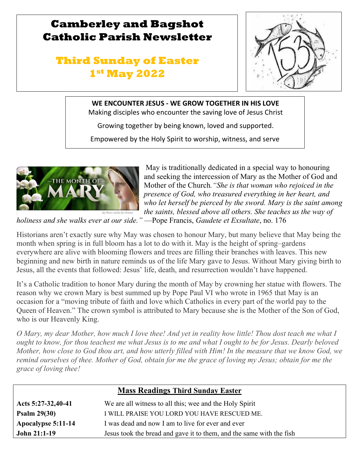# **Camberley and Bagshot Catholic Parish Newsletter**

# **Third Sunday of Easter 1st May 2022**



## **WE ENCOUNTER JESUS - WE GROW TOGETHER IN HIS LOVE**

Making disciples who encounter the saving love of Jesus Christ

Growing together by being known, loved and supported.

Empowered by the Holy Spirit to worship, witness, and serve



l

g

 May is traditionally dedicated in a special way to honouring and seeking the intercession of Mary as the Mother of God and Mother of the Church*."She is that woman who rejoiced in the presence of God, who treasured everything in her heart, and who let herself be pierced by the sword. Mary is the saint among the saints, blessed above all others. She teaches us the way of* 

*holiness and she walks ever at our side."* —Pope Francis, *Gaudete et Exsultate*, no. 176

Historians aren't exactly sure why May was chosen to honour Mary, but many believe that May being the month when spring is in full bloom has a lot to do with it. May is the height of spring–gardens everywhere are alive with blooming flowers and trees are filling their branches with leaves. This new beginning and new birth in nature reminds us of the life Mary gave to Jesus. Without Mary giving birth to Jesus, all the events that followed: Jesus' life, death, and resurrection wouldn't have happened.

It's a Catholic tradition to honor Mary during the month of May by crowning her statue with flowers. The reason why we crown Mary is best summed up by Pope Paul VI who wrote in 1965 that May is an occasion for a "moving tribute of faith and love which Catholics in every part of the world pay to the Queen of Heaven." The crown symbol is attributed to Mary because she is the Mother of the Son of God, who is our Heavenly King.

*O Mary, my dear Mother, how much I love thee! And yet in reality how little! Thou dost teach me what I ought to know, for thou teachest me what Jesus is to me and what I ought to be for Jesus. Dearly beloved Mother, how close to God thou art, and how utterly filled with Him! In the measure that we know God, we remind ourselves of thee. Mother of God, obtain for me the grace of loving my Jesus; obtain for me the grace of loving thee!*

| <b>Mass Readings Third Sunday Easter</b> |                                                                      |  |  |
|------------------------------------------|----------------------------------------------------------------------|--|--|
| Acts 5:27-32,40-41                       | We are all witness to all this; wee and the Holy Spirit              |  |  |
| Psalm $29(30)$                           | I WILL PRAISE YOU LORD YOU HAVE RESCUED ME.                          |  |  |
| Apocalypse 5:11-14                       | I was dead and now I am to live for ever and ever                    |  |  |
| <b>John 21:1-19</b>                      | Jesus took the bread and gave it to them, and the same with the fish |  |  |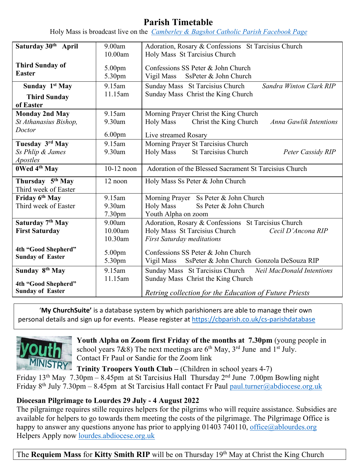## **Parish Timetable**

Holy Mass is broadcast live on the *[Camberley & Bagshot Catholic Parish Facebook Page](https://www.facebook.com/Camberley-Bagshot-Catholic-Parish-102099478101801/)*

| Saturday 30 <sup>th</sup> April                      | 9.00am             | Adoration, Rosary & Confessions St Tarcisius Church                                           |  |  |
|------------------------------------------------------|--------------------|-----------------------------------------------------------------------------------------------|--|--|
|                                                      | 10.00am            | Holy Mass St Tarcisius Church                                                                 |  |  |
| <b>Third Sunday of</b><br><b>Easter</b>              | 5.00pm<br>5.30pm   | Confessions SS Peter & John Church<br>Vigil Mass SsPeter & John Church                        |  |  |
| Sunday 1st May                                       | 9.15am             | Sunday Mass St Tarcisius Church<br>Sandra Winton Clark RIP                                    |  |  |
| <b>Third Sunday</b><br>of Easter                     | 11.15am            | Sunday Mass Christ the King Church                                                            |  |  |
| <b>Monday 2nd May</b>                                | 9.15am             | Morning Prayer Christ the King Church                                                         |  |  |
| St Athanasius Bishop,                                | 9.30am             | Christ the King Church<br><b>Holy Mass</b><br><b>Anna Gawlik Intentions</b>                   |  |  |
| Doctor                                               | 6.00 <sub>pm</sub> | Live streamed Rosary                                                                          |  |  |
| Tuesday 3rd May                                      | 9.15am             | Morning Prayer St Tarcisius Church                                                            |  |  |
| Ss Phlip & James                                     | 9.30am             | St Tarcisius Church<br><b>Holy Mass</b><br>Peter Cassidy RIP                                  |  |  |
| <i>Apostles</i>                                      |                    |                                                                                               |  |  |
| 0Wed 4th May                                         | $10-12$ noon       | Adoration of the Blessed Sacrament St Tarcisius Church                                        |  |  |
| Thursday 5 <sup>th</sup> May<br>Third week of Easter | 12 noon            | Holy Mass Ss Peter & John Church                                                              |  |  |
| Friday 6th May                                       | 9.15am             | Morning Prayer Ss Peter & John Church                                                         |  |  |
| Third week of Easter                                 | 9.30am             | <b>Holy Mass</b><br>Ss Peter & John Church                                                    |  |  |
|                                                      | 7.30pm             | Youth Alpha on zoom                                                                           |  |  |
| Saturday 7th May                                     | 9.00am             | Adoration, Rosary & Confessions St Tarcisius Church                                           |  |  |
| <b>First Saturday</b>                                | 10.00am            | Holy Mass St Tarcisius Church<br>Cecil D'Ancona RIP                                           |  |  |
|                                                      | 10.30am            | <b>First Saturday meditations</b>                                                             |  |  |
| 4th "Good Shepherd"<br><b>Sunday of Easter</b>       | 5.00pm<br>5.30pm   | Confessions SS Peter & John Church<br>Vigil Mass<br>SsPeter & John Church Gonzola DeSouza RIP |  |  |
| Sunday 8 <sup>th</sup> May                           | 9.15am             | Sunday Mass St Tarcisius Church Neil MacDonald Intentions                                     |  |  |
| 4th "Good Shepherd"<br><b>Sunday of Easter</b>       | 11.15am            | Sunday Mass Christ the King Church<br>Retring collection for the Education of Future Priests  |  |  |

'**My ChurchSuite'** is a database system by which parishioners are able to manage their own personal details and sign up for events. Please register at<https://cbparish.co.uk/cs-parishdatabase>



**Youth Alpha on Zoom first Friday of the months at 7.30pm** (young people in school years 7&8) The next meetings are  $6<sup>th</sup>$  May,  $3<sup>rd</sup>$  June and  $1<sup>st</sup>$  July. Contact Fr Paul or Sandie for the Zoom link

**Trinity Troopers Youth Club –** (Children in school years 4-7)

Friday 13th May 7.30pm – 8.45pm at St Tarcisius HallThursday 2nd June 7.00pm Bowling night Friday 8<sup>th</sup> July 7.30pm – 8.45pm at St Tarcisius Hall contact Fr Paul paul.turner@abdiocese.org.uk

### **Diocesan Pilgrimage to Lourdes 29 July - 4 August 2022**

The pilgraimge requires stille requires helpers for the pilgrims who will require assistance. Subsidies are available for helpers to go towards them meeting the costs of the pilgrimage. The Pilgrimage Office is happy to answer any questions anyone has prior to applying 01403 740110, office@ablourdes.org Helpers Apply now [lourdes.abdiocese.org.uk](https://eur02.safelinks.protection.outlook.com/?url=https%3A%2F%2Fwww.abdiocese.org.uk%2Flourdes%2Fhome&data=05%7C01%7Cpaul.turner%40abdiocese.org.uk%7C50ba290405464d79a90208da22174e11%7C2bf5dbc217ef4efca1c9ab2dc4edefd0%7C0%7C0%7C637859780772621089%7CUnknown%7CTWFpbGZsb3d8eyJWIjoiMC4wLjAwMDAiLCJQIjoiV2luMzIiLCJBTiI6Ik1haWwiLCJXVCI6Mn0%3D%7C1000%7C%7C%7C&sdata=mhm4lDHZcpDrji2dqUDLZLV7buLSLRkmITn1Ehf%2BQBI%3D&reserved=0)

The **Requiem Mass** for **Kitty Smith RIP** will be on Thursday 19th May at Christ the King Church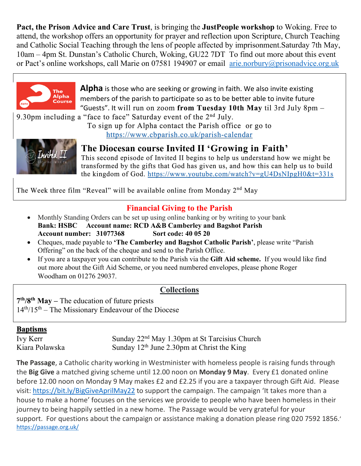**Pact, the Prison Advice and Care Trust**, is bringing the **JustPeople workshop** to Woking. Free to attend, the workshop offers an opportunity for prayer and reflection upon Scripture, Church Teaching and Catholic Social Teaching through the lens of people affected by imprisonment.Saturday 7th May, 10am – 4pm St. Dunstan's Catholic Church, Woking, GU22 7DT To find out more about this event or Pact's online workshops, call Marie on 07581 194907 or email [arie.norbury@prisonadvice.org.uk](mailto:arie.norbury@prisonadvice.org.uk)



**Alpha** is those who are seeking or growing in faith. We also invite existing members of the parish to participate so as to be better able to invite future "Guests". It will run on zoom **from Tuesday 10th May** til 3rd July 8pm –

9.30pm including a "face to face" Saturday event of the  $2<sup>nd</sup>$  July.

To sign up for Alpha contact the Parish office or go to <https://www.cbparish.co.uk/parish-calendar>



**The Diocesan course Invited II 'Growing in Faith'**  This second episode of Invited II begins to help us understand how we might be transformed by the gifts that God has given us, and how this can help us to build the kingdom of God. <https://www.youtube.com/watch?v=gU4DsNIpgH0&t=331s>

The Week three film "Reveal" will be available online from Monday 2<sup>nd</sup> May

## **Financial Giving to the Parish**

- Monthly Standing Orders can be set up using online banking or by writing to your bank **Bank: HSBC Account name: RCD A&B Camberley and Bagshot Parish Account number: 31077368 Sort code: 40 05 20**
- Cheques, made payable to **'The Camberley and Bagshot Catholic Parish'**, please write "Parish Offering" on the back of the cheque and send to the Parish Office.
- If you are a taxpayer you can contribute to the Parish via the **Gift Aid scheme.** If you would like find out more about the Gift Aid Scheme, or you need numbered envelopes, please phone Roger Woodham on 01276 29037.

### **Collections**

**7th/8th May –** The education of future priests 14th/15th – The Missionary Endeavour of the Diocese

#### **Baptisms**

Ivy Kerr Sunday 22<sup>nd</sup> May 1.30pm at St Tarcisius Church Kiara Polawska Sunday  $12<sup>th</sup>$  June 2.30pm at Christ the King

**The Passage**, a Catholic charity working in Westminister with homeless people is raising funds through the **Big Give** a matched giving scheme until 12.00 noon on **Monday 9 May**. Every £1 donated online before 12.00 noon on Monday 9 May makes £2 and £2.25 if you are a taxpayer through Gift Aid. Please visit: [https://bit.ly/BigGiveAprilMay22](https://eur02.safelinks.protection.outlook.com/?url=https%3A%2F%2Fbit.ly%2FBigGiveAprilMay22&data=05%7C01%7Ccamberleyandbagshot%40abdiocese.org.uk%7C5fbbf6c560b44a91672c08da239c9e75%7C2bf5dbc217ef4efca1c9ab2dc4edefd0%7C0%7C0%7C637861452828039784%7CUnknown%7CTWFpbGZsb3d8eyJWIjoiMC4wLjAwMDAiLCJQIjoiV2luMzIiLCJBTiI6Ik1haWwiLCJXVCI6Mn0%3D%7C3000%7C%7C%7C&sdata=TP0geMUkXJ471A8RR74SZ2U%2B7DhT8g%2FAkgJXrJDVUcY%3D&reserved=0) to support the campaign. The campaign 'It takes more than a house to make a home' focuses on the services we provide to people who have been homeless in their journey to being happily settled in a new home. The Passage would be very grateful for your support. For questions about the campaign or assistance making a donation please ring 020 7592 1856.' <https://passage.org.uk/>